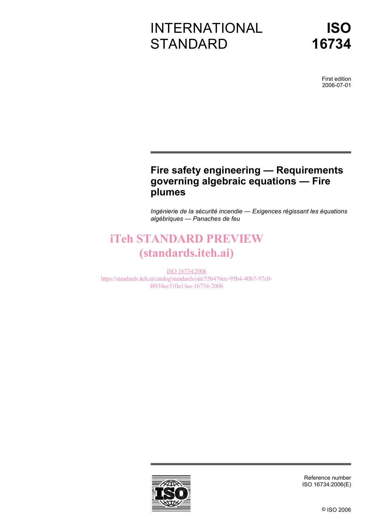# INTERNATIONAL **STANDARD**

First edition 2006-07-01

## **Fire safety engineering — Requirements governing algebraic equations — Fire plumes**

*Ingénierie de la sécurité incendie — Exigences régissant les équations algébriques — Panaches de feu* 

# iTeh STANDARD PREVIEW (standards.iteh.ai)

ISO 16734:2006 https://standards.iteh.ai/catalog/standards/sist/55b476ee-95b4-40b7-97c0 f4934ee310a1/iso-16734-2006



Reference number ISO 16734:2006(E)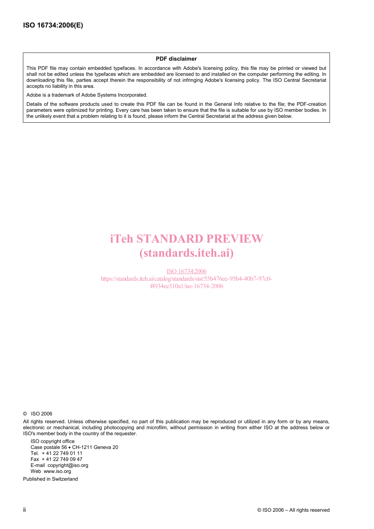#### **PDF disclaimer**

This PDF file may contain embedded typefaces. In accordance with Adobe's licensing policy, this file may be printed or viewed but shall not be edited unless the typefaces which are embedded are licensed to and installed on the computer performing the editing. In downloading this file, parties accept therein the responsibility of not infringing Adobe's licensing policy. The ISO Central Secretariat accepts no liability in this area.

Adobe is a trademark of Adobe Systems Incorporated.

Details of the software products used to create this PDF file can be found in the General Info relative to the file; the PDF-creation parameters were optimized for printing. Every care has been taken to ensure that the file is suitable for use by ISO member bodies. In the unlikely event that a problem relating to it is found, please inform the Central Secretariat at the address given below.

# iTeh STANDARD PREVIEW (standards.iteh.ai)

ISO 16734:2006 https://standards.iteh.ai/catalog/standards/sist/55b476ee-95b4-40b7-97c0 f4934ee310a1/iso-16734-2006

© ISO 2006

All rights reserved. Unless otherwise specified, no part of this publication may be reproduced or utilized in any form or by any means, electronic or mechanical, including photocopying and microfilm, without permission in writing from either ISO at the address below or ISO's member body in the country of the requester.

ISO copyright office Case postale 56 • CH-1211 Geneva 20 Tel. + 41 22 749 01 11 Fax + 41 22 749 09 47 E-mail copyright@iso.org Web www.iso.org

Published in Switzerland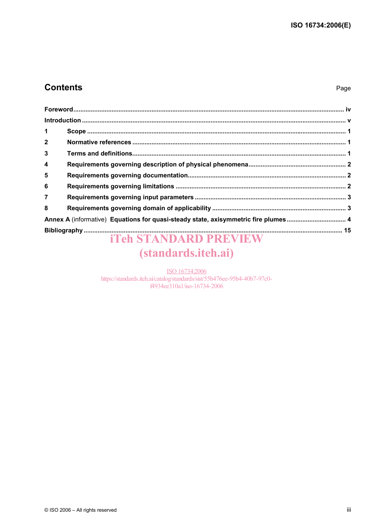### **Contents**

#### Page

| 1                       |                                                                                    |  |
|-------------------------|------------------------------------------------------------------------------------|--|
| $2^{\circ}$             |                                                                                    |  |
| $\mathbf{3}$            |                                                                                    |  |
| $\overline{\mathbf{4}}$ |                                                                                    |  |
| 5                       |                                                                                    |  |
| 6                       |                                                                                    |  |
| $\overline{7}$          |                                                                                    |  |
| 8                       |                                                                                    |  |
|                         | Annex A (informative) Equations for quasi-steady state, axisymmetric fire plumes 4 |  |
|                         |                                                                                    |  |

# **iTeh STANDARD PREVIEW** (standards.iteh.ai)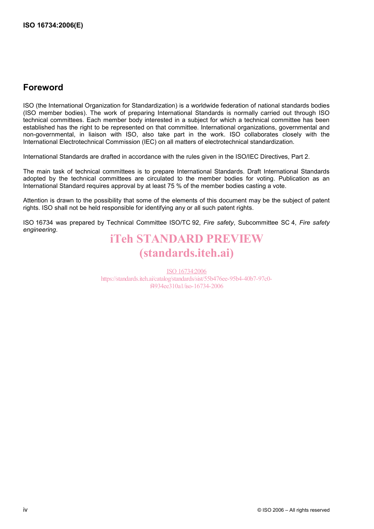### **Foreword**

ISO (the International Organization for Standardization) is a worldwide federation of national standards bodies (ISO member bodies). The work of preparing International Standards is normally carried out through ISO technical committees. Each member body interested in a subject for which a technical committee has been established has the right to be represented on that committee. International organizations, governmental and non-governmental, in liaison with ISO, also take part in the work. ISO collaborates closely with the International Electrotechnical Commission (IEC) on all matters of electrotechnical standardization.

International Standards are drafted in accordance with the rules given in the ISO/IEC Directives, Part 2.

The main task of technical committees is to prepare International Standards. Draft International Standards adopted by the technical committees are circulated to the member bodies for voting. Publication as an International Standard requires approval by at least 75 % of the member bodies casting a vote.

Attention is drawn to the possibility that some of the elements of this document may be the subject of patent rights. ISO shall not be held responsible for identifying any or all such patent rights.

ISO 16734 was prepared by Technical Committee ISO/TC 92, *Fire safety*, Subcommittee SC 4, *Fire safety engineering*.

# iTeh STANDARD PREVIEW (standards.iteh.ai)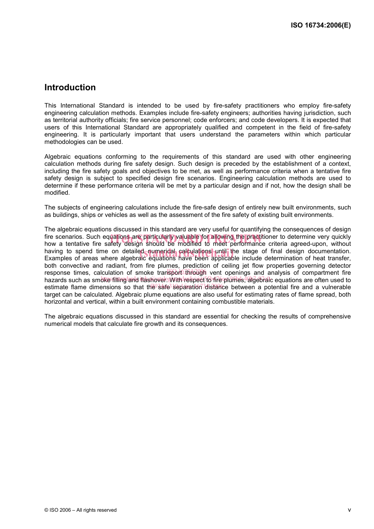### **Introduction**

This International Standard is intended to be used by fire-safety practitioners who employ fire-safety engineering calculation methods. Examples include fire-safety engineers; authorities having jurisdiction, such as territorial authority officials; fire service personnel; code enforcers; and code developers. It is expected that users of this International Standard are appropriately qualified and competent in the field of fire-safety engineering. It is particularly important that users understand the parameters within which particular methodologies can be used.

Algebraic equations conforming to the requirements of this standard are used with other engineering calculation methods during fire safety design. Such design is preceded by the establishment of a context, including the fire safety goals and objectives to be met, as well as performance criteria when a tentative fire safety design is subject to specified design fire scenarios. Engineering calculation methods are used to determine if these performance criteria will be met by a particular design and if not, how the design shall be modified.

The subjects of engineering calculations include the fire-safe design of entirely new built environments, such as buildings, ships or vehicles as well as the assessment of the fire safety of existing built environments.

The algebraic equations discussed in this standard are very useful for quantifying the consequences of design fire scenarios. Such equations are particularly valuable for allowing the practitioner to determine very quickly<br>how a tentative fire safety design should be modified to meet performance criteria agreed-upon. without how a tentative fire safety design should be modified to meet performance criteria agreed-upon, without having to spend time on detailed numerical calculations until the stage of final design documentation.<br>Examples of areas where algebraic equations have been applicable include determination of heat transfer Examples of areas where algebraic equations have been applicable include determination of heat transfer, both convective and radiant, from fire plumes, prediction of ceiling jet flow properties governing detector response times, calculation of smoke transport through vent openings and analysis of compartment fire hazards such as smoke filling and iflashover. With respect to fire plumes, aligebraic equations are often used to estimate flame dimensions so that the safe separation distance between a potential fire and a vulnerable target can be calculated. Algebraic plume equations are also useful for estimating rates of flame spread, both horizontal and vertical, within a built environment containing combustible materials.

The algebraic equations discussed in this standard are essential for checking the results of comprehensive numerical models that calculate fire growth and its consequences.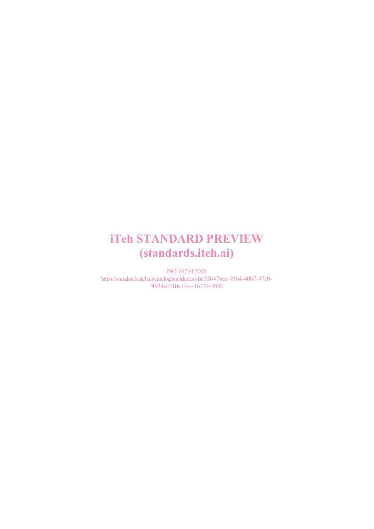# iTeh STANDARD PREVIEW (standards.iteh.ai)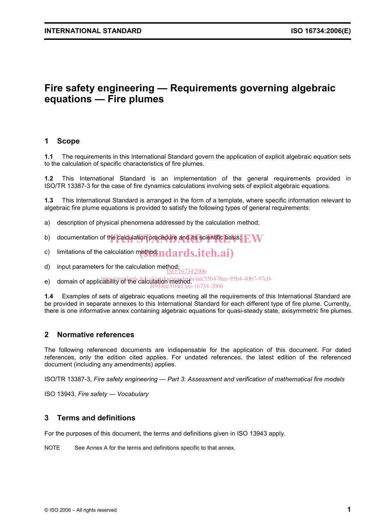### **Fire safety engineering — Requirements governing algebraic equations — Fire plumes**

#### **1 Scope**

**1.1** The requirements in this International Standard govern the application of explicit algebraic equation sets to the calculation of specific characteristics of fire plumes.

**1.2** This International Standard is an implementation of the general requirements provided in ISO/TR 13387-3 for the case of fire dynamics calculations involving sets of explicit algebraic equations.

**1.3** This International Standard is arranged in the form of a template, where specific information relevant to algebraic fire plume equations is provided to satisfy the following types of general requirements:

- a) description of physical phenomena addressed by the calculation method;
- b) documentation of the calculation procedure and its scientific basis;  $\boldsymbol{\mathrm{FW}}$
- c) limitations of the calculation method;  $\mathbf{adards}.\mathbf{iteh}.\mathbf{ai})$
- d) input parameters for the calculation method; ISO 16734:2006
- e) domain of applicability of the calculation method. sist/55b476ee-95b4-40b7-97c0-

f4934ee310a1/iso-16734-2006

**1.4** Examples of sets of algebraic equations meeting all the requirements of this International Standard are be provided in separate annexes to this International Standard for each different type of fire plume. Currently, there is one informative annex containing algebraic equations for quasi-steady state, axisymmetric fire plumes.

#### **2 Normative references**

The following referenced documents are indispensable for the application of this document. For dated references, only the edition cited applies. For undated references, the latest edition of the referenced document (including any amendments) applies.

ISO/TR 13387-3, *Fire safety engineering — Part 3: Assessment and verification of mathematical fire models*

ISO 13943, *Fire safety — Vocabulary*

#### **3 Terms and definitions**

For the purposes of this document, the terms and definitions given in ISO 13943 apply.

NOTE See Annex A for the terms and definitions specific to that annex.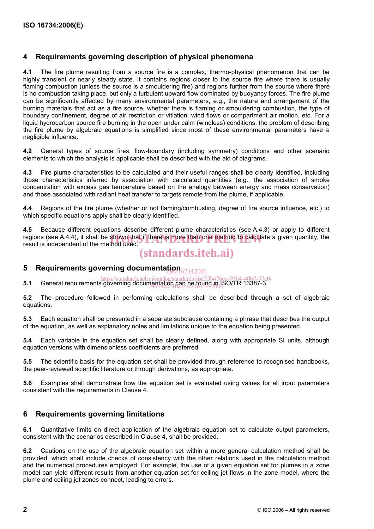#### **4 Requirements governing description of physical phenomena**

**4.1** The fire plume resulting from a source fire is a complex, thermo-physical phenomenon that can be highly transient or nearly steady state. It contains regions closer to the source fire where there is usually flaming combustion (unless the source is a smouldering fire) and regions further from the source where there is no combustion taking place, but only a turbulent upward flow dominated by buoyancy forces. The fire plume can be significantly affected by many environmental parameters, e.g., the nature and arrangement of the burning materials that act as a fire source, whether there is flaming or smouldering combustion, the type of boundary confinement, degree of air restriction or vitiation, wind flows or compartment air motion, etc. For a liquid hydrocarbon source fire burning in the open under calm (windless) conditions, the problem of describing the fire plume by algebraic equations is simplified since most of these environmental parameters have a negligible influence.

**4.2** General types of source fires, flow-boundary (including symmetry) conditions and other scenario elements to which the analysis is applicable shall be described with the aid of diagrams.

**4.3** Fire plume characteristics to be calculated and their useful ranges shall be clearly identified, including those characteristics inferred by association with calculated quantities (e.g., the association of smoke concentration with excess gas temperature based on the analogy between energy and mass conservation) and those associated with radiant heat transfer to targets remote from the plume, if applicable.

**4.4** Regions of the fire plume (whether or not flaming/combusting, degree of fire source influence, etc.) to which specific equations apply shall be clearly identified.

**4.5** Because different equations describe different plume characteristics (see A.4.3) or apply to different regions (see A.4.4), it shall be shown that if there is more than one method to calculate a given quantity, the<br>result is independent of the method used. result is independent of the method used.

### (standards.iteh.ai)

### 5 Requirements governing documenta<u>tion 6734:2006</u>

**5.1 General requirements governing documentation can be found in ISO/TR 13387-3.**<br>**5.1** General requirements governing documentation can be found in ISO/TR 13387-3. f4934ee310a1/iso-16734-2006

**5.2** The procedure followed in performing calculations shall be described through a set of algebraic equations.

**5.3** Each equation shall be presented in a separate subclause containing a phrase that describes the output of the equation, as well as explanatory notes and limitations unique to the equation being presented.

**5.4** Each variable in the equation set shall be clearly defined, along with appropriate SI units, although equation versions with dimensionless coefficients are preferred.

**5.5** The scientific basis for the equation set shall be provided through reference to recognised handbooks, the peer-reviewed scientific literature or through derivations, as appropriate.

**5.6** Examples shall demonstrate how the equation set is evaluated using values for all input parameters consistent with the requirements in Clause 4.

#### **6 Requirements governing limitations**

**6.1** Quantitative limits on direct application of the algebraic equation set to calculate output parameters, consistent with the scenarios described in Clause 4, shall be provided.

**6.2** Cautions on the use of the algebraic equation set within a more general calculation method shall be provided, which shall include checks of consistency with the other relations used in the calculation method and the numerical procedures employed. For example, the use of a given equation set for plumes in a zone model can yield different results from another equation set for ceiling jet flows in the zone model, where the plume and ceiling jet zones connect, leading to errors.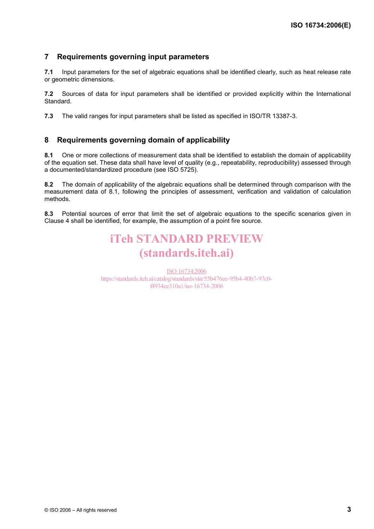#### **7 Requirements governing input parameters**

**7.1** Input parameters for the set of algebraic equations shall be identified clearly, such as heat release rate or geometric dimensions.

**7.2** Sources of data for input parameters shall be identified or provided explicitly within the International Standard.

**7.3** The valid ranges for input parameters shall be listed as specified in ISO/TR 13387-3.

#### **8 Requirements governing domain of applicability**

**8.1** One or more collections of measurement data shall be identified to establish the domain of applicability of the equation set. These data shall have level of quality (e.g., repeatability, reproducibility) assessed through a documented/standardized procedure (see ISO 5725).

**8.2** The domain of applicability of the algebraic equations shall be determined through comparison with the measurement data of 8.1, following the principles of assessment, verification and validation of calculation methods.

**8.3** Potential sources of error that limit the set of algebraic equations to the specific scenarios given in Clause 4 shall be identified, for example, the assumption of a point fire source.

# iTeh STANDARD PREVIEW (standards.iteh.ai)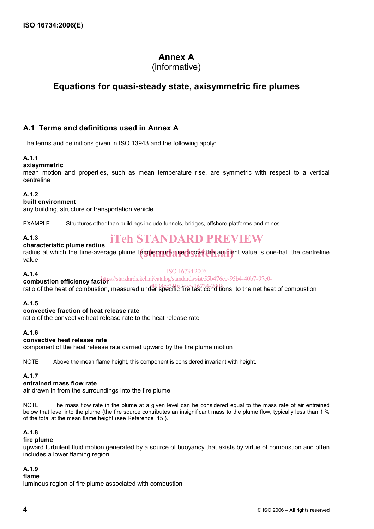### **Annex A**

### (informative)

### **Equations for quasi-steady state, axisymmetric fire plumes**

### **A.1 Terms and definitions used in Annex A**

The terms and definitions given in ISO 13943 and the following apply:

#### **A.1.1**

#### **axisymmetric**

mean motion and properties, such as mean temperature rise, are symmetric with respect to a vertical centreline

#### **A.1.2**

#### **built environment**

any building, structure or transportation vehicle

EXAMPLE Structures other than buildings include tunnels, bridges, offshore platforms and mines.

#### **A.1.3**

## iTeh STANDARD PREVIEW

#### **characteristic plume radius**

endius at which the time-average plume temperature rise above the ambient value is one-half the centreline radius value

#### **A.1.4**

#### ISO 16734:2006

**combustion efficiency factor**  https://standards.iteh.ai/catalog/standards/sist/55b476ee-95b4-40b7-97c0-

**Example of the heat of combustion, measured under specific fire test conditions, to the net heat of combustion** 

#### **A.1.5**

#### **convective fraction of heat release rate**

ratio of the convective heat release rate to the heat release rate

#### **A.1.6**

#### **convective heat release rate**

component of the heat release rate carried upward by the fire plume motion

NOTE Above the mean flame height, this component is considered invariant with height.

#### **A.1.7**

#### **entrained mass flow rate**

air drawn in from the surroundings into the fire plume

NOTE The mass flow rate in the plume at a given level can be considered equal to the mass rate of air entrained below that level into the plume (the fire source contributes an insignificant mass to the plume flow, typically less than 1 % of the total at the mean flame height (see Reference [15]).

#### **A.1.8**

#### **fire plume**

upward turbulent fluid motion generated by a source of buoyancy that exists by virtue of combustion and often includes a lower flaming region

#### **A.1.9**

**flame** 

luminous region of fire plume associated with combustion